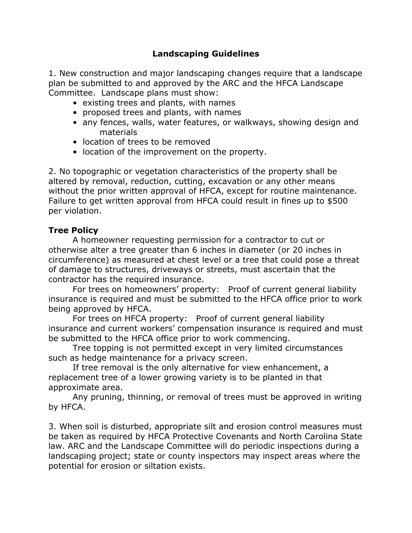## Landscaping Guidelines

1. New construction and major landscaping changes require that a landscape plan be submitted to and approved by the ARC and the HFCA Landscape Committee. Landscape plans must show:

- existing trees and plants, with names
- proposed trees and plants, with names
- any fences, walls, water features, or walkways, showing design and materials
- location of trees to be removed
- location of the improvement on the property.

2. No topographic or vegetation characteristics of the property shall be altered by removal, reduction, cutting, excavation or any other means without the prior written approval of HFCA, except for routine maintenance. Failure to get written approval from HFCA could result in fines up to \$500 per violation.

## Tree Policy

 A homeowner requesting permission for a contractor to cut or otherwise alter a tree greater than 6 inches in diameter (or 20 inches in circumference) as measured at chest level or a tree that could pose a threat of damage to structures, driveways or streets, must ascertain that the contractor has the required insurance.

 For trees on homeowners' property: Proof of current general liability insurance is required and must be submitted to the HFCA office prior to work being approved by HFCA.

 For trees on HFCA property: Proof of current general liability insurance and current workers' compensation insurance is required and must be submitted to the HFCA office prior to work commencing.

 Tree topping is not permitted except in very limited circumstances such as hedge maintenance for a privacy screen.

 If tree removal is the only alternative for view enhancement, a replacement tree of a lower growing variety is to be planted in that approximate area.

 Any pruning, thinning, or removal of trees must be approved in writing by HFCA.

3. When soil is disturbed, appropriate silt and erosion control measures must be taken as required by HFCA Protective Covenants and North Carolina State law. ARC and the Landscape Committee will do periodic inspections during a landscaping project; state or county inspectors may inspect areas where the potential for erosion or siltation exists.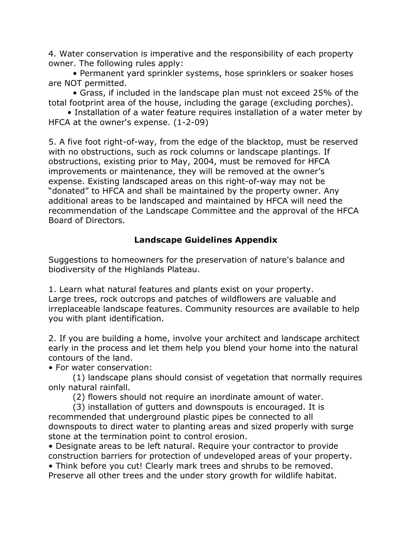4. Water conservation is imperative and the responsibility of each property owner. The following rules apply:

 • Permanent yard sprinkler systems, hose sprinklers or soaker hoses are NOT permitted.

• Grass, if included in the landscape plan must not exceed 25% of the total footprint area of the house, including the garage (excluding porches).

 • Installation of a water feature requires installation of a water meter by HFCA at the owner's expense. (1-2-09)

5. A five foot right-of-way, from the edge of the blacktop, must be reserved with no obstructions, such as rock columns or landscape plantings. If obstructions, existing prior to May, 2004, must be removed for HFCA improvements or maintenance, they will be removed at the owner's expense. Existing landscaped areas on this right-of-way may not be "donated" to HFCA and shall be maintained by the property owner. Any additional areas to be landscaped and maintained by HFCA will need the recommendation of the Landscape Committee and the approval of the HFCA Board of Directors.

## Landscape Guidelines Appendix

Suggestions to homeowners for the preservation of nature's balance and biodiversity of the Highlands Plateau.

1. Learn what natural features and plants exist on your property. Large trees, rock outcrops and patches of wildflowers are valuable and irreplaceable landscape features. Community resources are available to help you with plant identification.

2. If you are building a home, involve your architect and landscape architect early in the process and let them help you blend your home into the natural contours of the land.

• For water conservation:

 (1) landscape plans should consist of vegetation that normally requires only natural rainfall.

(2) flowers should not require an inordinate amount of water.

(3) installation of gutters and downspouts is encouraged. It is

recommended that underground plastic pipes be connected to all downspouts to direct water to planting areas and sized properly with surge stone at the termination point to control erosion.

• Designate areas to be left natural. Require your contractor to provide construction barriers for protection of undeveloped areas of your property.

• Think before you cut! Clearly mark trees and shrubs to be removed. Preserve all other trees and the under story growth for wildlife habitat.